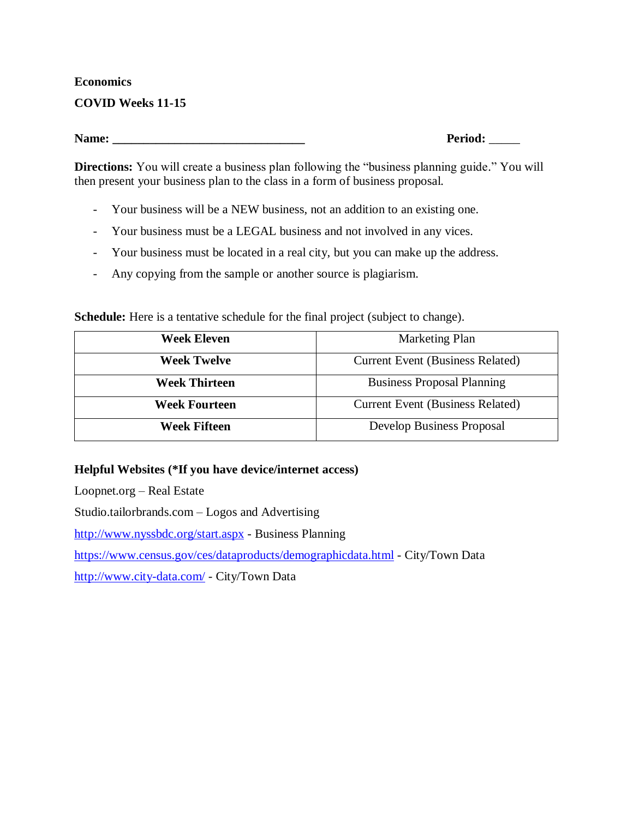### **Economics**

### **COVID Weeks 11-15**

**Name: \_\_\_\_\_\_\_\_\_\_\_\_\_\_\_\_\_\_\_\_\_\_\_\_\_\_\_\_\_\_\_ Period:** \_\_\_\_\_

**Directions:** You will create a business plan following the "business planning guide." You will then present your business plan to the class in a form of business proposal.

- Your business will be a NEW business, not an addition to an existing one.
- Your business must be a LEGAL business and not involved in any vices.
- Your business must be located in a real city, but you can make up the address.
- Any copying from the sample or another source is plagiarism.

**Schedule:** Here is a tentative schedule for the final project (subject to change).

| Week Eleven          | <b>Marketing Plan</b>                   |
|----------------------|-----------------------------------------|
| <b>Week Twelve</b>   | <b>Current Event (Business Related)</b> |
| <b>Week Thirteen</b> | <b>Business Proposal Planning</b>       |
| <b>Week Fourteen</b> | <b>Current Event (Business Related)</b> |
| <b>Week Fifteen</b>  | Develop Business Proposal               |

### **Helpful Websites (\*If you have device/internet access)**

Loopnet.org – Real Estate

Studio.tailorbrands.com – Logos and Advertising

<http://www.nyssbdc.org/start.aspx> - Business Planning

<https://www.census.gov/ces/dataproducts/demographicdata.html> - City/Town Data

<http://www.city-data.com/> - City/Town Data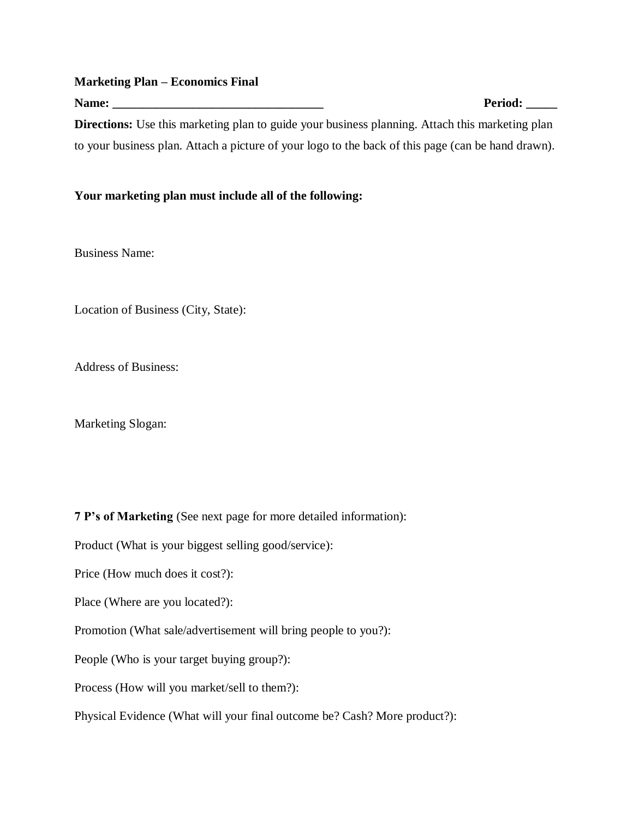#### **Marketing Plan – Economics Final**

Name: **Period:**  $P$ **Directions:** Use this marketing plan to guide your business planning. Attach this marketing plan to your business plan. Attach a picture of your logo to the back of this page (can be hand drawn).

#### **Your marketing plan must include all of the following:**

Business Name:

Location of Business (City, State):

Address of Business:

Marketing Slogan:

**7 P's of Marketing** (See next page for more detailed information):

Product (What is your biggest selling good/service):

Price (How much does it cost?):

Place (Where are you located?):

Promotion (What sale/advertisement will bring people to you?):

People (Who is your target buying group?):

Process (How will you market/sell to them?):

Physical Evidence (What will your final outcome be? Cash? More product?):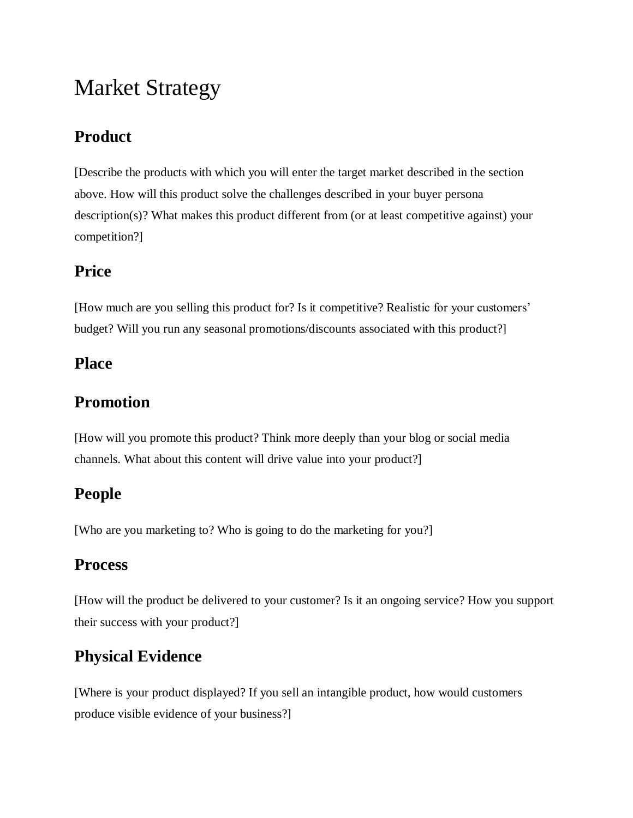# Market Strategy

# **Product**

[Describe the products with which you will enter the target market described in the section above. How will this product solve the challenges described in your buyer persona description(s)? What makes this product different from (or at least competitive against) your competition?]

### **Price**

[How much are you selling this product for? Is it competitive? Realistic for your customers' budget? Will you run any seasonal promotions/discounts associated with this product?]

### **Place**

## **Promotion**

[How will you promote this product? Think more deeply than your blog or social media channels. What about this content will drive value into your product?]

### **People**

[Who are you marketing to? Who is going to do the marketing for you?]

### **Process**

[How will the product be delivered to your customer? Is it an ongoing service? How you support their success with your product?]

# **Physical Evidence**

[Where is your product displayed? If you sell an intangible product, how would customers produce visible evidence of your business?]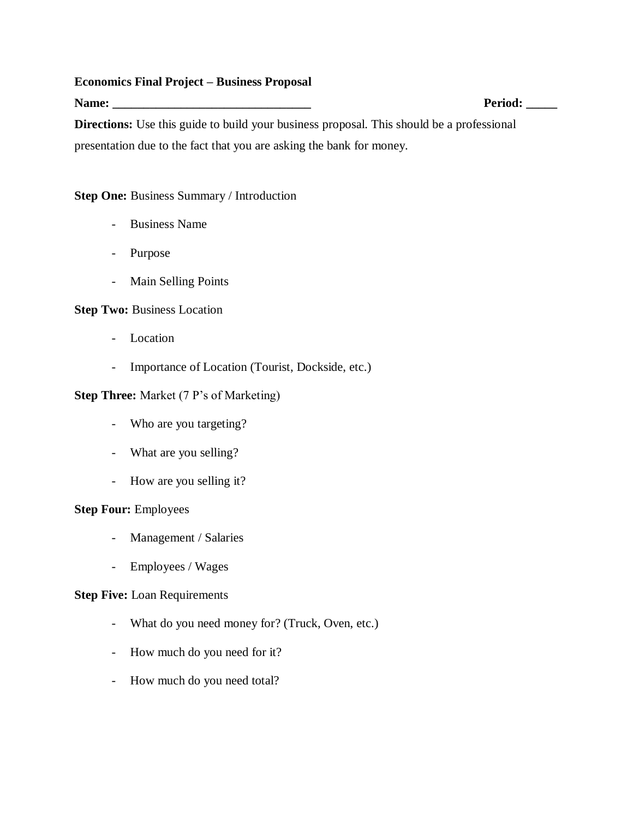#### **Economics Final Project – Business Proposal**

Name: **Period:**  $P$ **Directions:** Use this guide to build your business proposal. This should be a professional presentation due to the fact that you are asking the bank for money.

### **Step One:** Business Summary / Introduction

- Business Name
- Purpose
- Main Selling Points

### **Step Two: Business Location**

- Location
- Importance of Location (Tourist, Dockside, etc.)

### **Step Three:** Market (7 P's of Marketing)

- Who are you targeting?
- What are you selling?
- How are you selling it?

### **Step Four:** Employees

- Management / Salaries
- Employees / Wages

### **Step Five:** Loan Requirements

- What do you need money for? (Truck, Oven, etc.)
- How much do you need for it?
- How much do you need total?